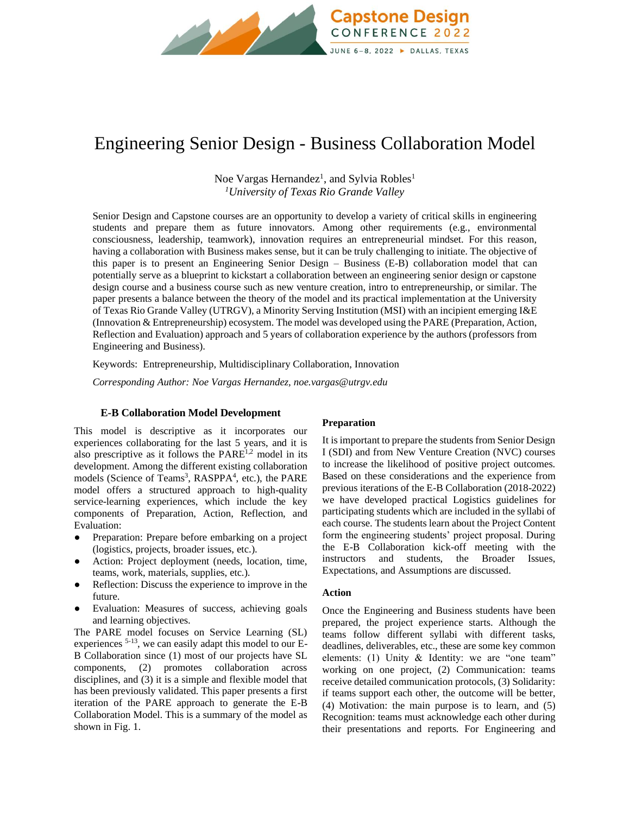

# Engineering Senior Design - Business Collaboration Model

Noe Vargas Hernandez<sup>1</sup>, and Sylvia Robles<sup>1</sup> *<sup>1</sup>University of Texas Rio Grande Valley*

Senior Design and Capstone courses are an opportunity to develop a variety of critical skills in engineering students and prepare them as future innovators. Among other requirements (e.g., environmental consciousness, leadership, teamwork), innovation requires an entrepreneurial mindset. For this reason, having a collaboration with Business makes sense, but it can be truly challenging to initiate. The objective of this paper is to present an Engineering Senior Design – Business (E-B) collaboration model that can potentially serve as a blueprint to kickstart a collaboration between an engineering senior design or capstone design course and a business course such as new venture creation, intro to entrepreneurship, or similar. The paper presents a balance between the theory of the model and its practical implementation at the University of Texas Rio Grande Valley (UTRGV), a Minority Serving Institution (MSI) with an incipient emerging I&E (Innovation & Entrepreneurship) ecosystem. The model was developed using the PARE (Preparation, Action, Reflection and Evaluation) approach and 5 years of collaboration experience by the authors (professors from Engineering and Business).

Keywords:Entrepreneurship, Multidisciplinary Collaboration, Innovation

*Corresponding Author: Noe Vargas Hernandez, noe.vargas@utrgv.edu*

## **E-B Collaboration Model Development**

This model is descriptive as it incorporates our experiences collaborating for the last 5 years, and it is also prescriptive as it follows the  $PARE^{1,2}$  model in its development. Among the different existing collaboration models (Science of Teams<sup>3</sup>, RASPPA<sup>4</sup>, etc.), the PARE model offers a structured approach to high-quality service-learning experiences, which include the key components of Preparation, Action, Reflection, and Evaluation:

- Preparation: Prepare before embarking on a project (logistics, projects, broader issues, etc.).
- Action: Project deployment (needs, location, time, teams, work, materials, supplies, etc.).
- Reflection: Discuss the experience to improve in the future.
- Evaluation: Measures of success, achieving goals and learning objectives.

The PARE model focuses on Service Learning (SL) experiences 5-13, we can easily adapt this model to our E-B Collaboration since (1) most of our projects have SL components, (2) promotes collaboration across disciplines, and (3) it is a simple and flexible model that has been previously validated. This paper presents a first iteration of the PARE approach to generate the E-B Collaboration Model. This is a summary of the model as shown in Fig. 1.

#### **Preparation**

It is important to prepare the students from Senior Design I (SDI) and from New Venture Creation (NVC) courses to increase the likelihood of positive project outcomes. Based on these considerations and the experience from previous iterations of the E-B Collaboration (2018-2022) we have developed practical Logistics guidelines for participating students which are included in the syllabi of each course. The students learn about the Project Content form the engineering students' project proposal. During the E-B Collaboration kick-off meeting with the instructors and students, the Broader Issues, Expectations, and Assumptions are discussed.

## **Action**

Once the Engineering and Business students have been prepared, the project experience starts. Although the teams follow different syllabi with different tasks, deadlines, deliverables, etc., these are some key common elements: (1) Unity & Identity: we are "one team" working on one project, (2) Communication: teams receive detailed communication protocols, (3) Solidarity: if teams support each other, the outcome will be better, (4) Motivation: the main purpose is to learn, and (5) Recognition: teams must acknowledge each other during their presentations and reports. For Engineering and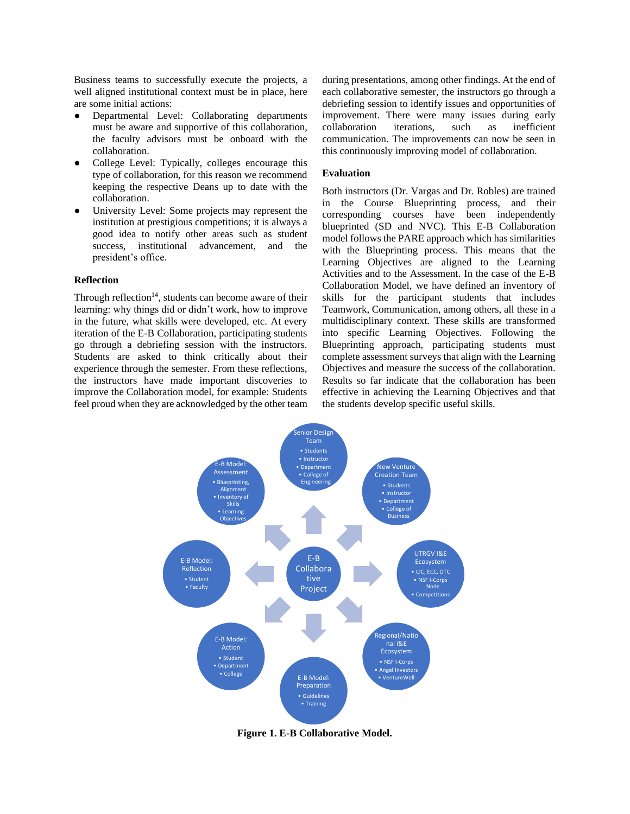Business teams to successfully execute the projects, a well aligned institutional context must be in place, here are some initial actions:

- Departmental Level: Collaborating departments must be aware and supportive of this collaboration, the faculty advisors must be onboard with the collaboration.
- College Level: Typically, colleges encourage this type of collaboration, for this reason we recommend keeping the respective Deans up to date with the collaboration.
- University Level: Some projects may represent the institution at prestigious competitions; it is always a good idea to notify other areas such as student success, institutional advancement, and the president's office.

#### **Reflection**

Through reflection<sup>14</sup>, students can become aware of their learning: why things did or didn't work, how to improve in the future, what skills were developed, etc. At every iteration of the E-B Collaboration, participating students go through a debriefing session with the instructors. Students are asked to think critically about their experience through the semester. From these reflections, the instructors have made important discoveries to improve the Collaboration model, for example: Students feel proud when they are acknowledged by the other team during presentations, among other findings. At the end of each collaborative semester, the instructors go through a debriefing session to identify issues and opportunities of improvement. There were many issues during early collaboration iterations, such as inefficient communication. The improvements can now be seen in this continuously improving model of collaboration.

#### **Evaluation**

Both instructors (Dr. Vargas and Dr. Robles) are trained in the Course Blueprinting process, and their corresponding courses have been independently blueprinted (SD and NVC). This E-B Collaboration model follows the PARE approach which has similarities with the Blueprinting process. This means that the Learning Objectives are aligned to the Learning Activities and to the Assessment. In the case of the E-B Collaboration Model, we have defined an inventory of skills for the participant students that includes Teamwork, Communication, among others, all these in a multidisciplinary context. These skills are transformed into specific Learning Objectives. Following the Blueprinting approach, participating students must complete assessment surveys that align with the Learning Objectives and measure the success of the collaboration. Results so far indicate that the collaboration has been effective in achieving the Learning Objectives and that the students develop specific useful skills.



**Figure 1. E-B Collaborative Model.**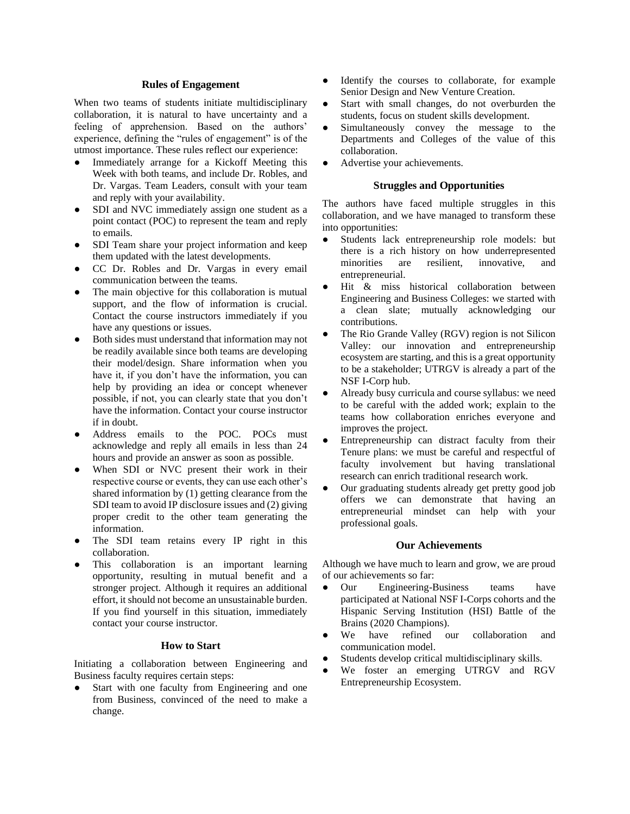#### **Rules of Engagement**

When two teams of students initiate multidisciplinary collaboration, it is natural to have uncertainty and a feeling of apprehension. Based on the authors' experience, defining the "rules of engagement" is of the utmost importance. These rules reflect our experience:

- Immediately arrange for a Kickoff Meeting this Week with both teams, and include Dr. Robles, and Dr. Vargas. Team Leaders, consult with your team and reply with your availability.
- SDI and NVC immediately assign one student as a point contact (POC) to represent the team and reply to emails.
- SDI Team share your project information and keep them updated with the latest developments.
- CC Dr. Robles and Dr. Vargas in every email communication between the teams.
- The main objective for this collaboration is mutual support, and the flow of information is crucial. Contact the course instructors immediately if you have any questions or issues.
- Both sides must understand that information may not be readily available since both teams are developing their model/design. Share information when you have it, if you don't have the information, you can help by providing an idea or concept whenever possible, if not, you can clearly state that you don't have the information. Contact your course instructor if in doubt.
- Address emails to the POC. POCs must acknowledge and reply all emails in less than 24 hours and provide an answer as soon as possible.
- When SDI or NVC present their work in their respective course or events, they can use each other's shared information by (1) getting clearance from the SDI team to avoid IP disclosure issues and (2) giving proper credit to the other team generating the information.
- The SDI team retains every IP right in this collaboration.
- This collaboration is an important learning opportunity, resulting in mutual benefit and a stronger project. Although it requires an additional effort, it should not become an unsustainable burden. If you find yourself in this situation, immediately contact your course instructor.

#### **How to Start**

Initiating a collaboration between Engineering and Business faculty requires certain steps:

Start with one faculty from Engineering and one from Business, convinced of the need to make a change.

- Identify the courses to collaborate, for example Senior Design and New Venture Creation.
- Start with small changes, do not overburden the students, focus on student skills development.
- Simultaneously convey the message to the Departments and Colleges of the value of this collaboration.
- Advertise your achievements.

# **Struggles and Opportunities**

The authors have faced multiple struggles in this collaboration, and we have managed to transform these into opportunities:

- Students lack entrepreneurship role models: but there is a rich history on how underrepresented minorities are resilient, innovative, and entrepreneurial.
- Hit & miss historical collaboration between Engineering and Business Colleges: we started with a clean slate; mutually acknowledging our contributions.
- The Rio Grande Valley (RGV) region is not Silicon Valley: our innovation and entrepreneurship ecosystem are starting, and this is a great opportunity to be a stakeholder; UTRGV is already a part of the NSF I-Corp hub.
- Already busy curricula and course syllabus: we need to be careful with the added work; explain to the teams how collaboration enriches everyone and improves the project.
- Entrepreneurship can distract faculty from their Tenure plans: we must be careful and respectful of faculty involvement but having translational research can enrich traditional research work.
- Our graduating students already get pretty good job offers we can demonstrate that having an entrepreneurial mindset can help with your professional goals.

#### **Our Achievements**

Although we have much to learn and grow, we are proud of our achievements so far:

- Our Engineering-Business teams have participated at National NSF I-Corps cohorts and the Hispanic Serving Institution (HSI) Battle of the Brains (2020 Champions).
- We have refined our collaboration and communication model.
- Students develop critical multidisciplinary skills.
- We foster an emerging UTRGV and RGV Entrepreneurship Ecosystem.